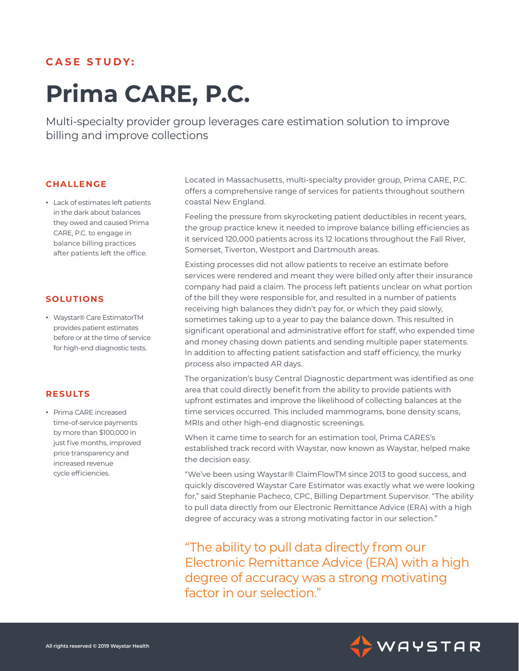## **CASE STUDY:**

# **Prima CARE, P.C.**

Multi-specialty provider group leverages care estimation solution to improve billing and improve collections

### **CHALLENGE**

**ٚ** Lack of estimates left patients in the dark about balances they owed and caused Prima CARE, P.C. to engage in balance billing practices after patients left the office.

## **SOLUTIONS**

**ٚ** Waystar® Care EstimatorTM provides patient estimates before or at the time of service for high-end diagnostic tests.

## **RESULTS**

**ٚ** Prima CARE increased time-of-service payments by more than \$100,000 in just five months, improved price transparency and increased revenue cycle efficiencies.

Located in Massachusetts, multi-specialty provider group, Prima CARE, P.C. offers a comprehensive range of services for patients throughout southern coastal New England.

Feeling the pressure from skyrocketing patient deductibles in recent years, the group practice knew it needed to improve balance billing efficiencies as it serviced 120,000 patients across its 12 locations throughout the Fall River, Somerset, Tiverton, Westport and Dartmouth areas.

Existing processes did not allow patients to receive an estimate before services were rendered and meant they were billed only after their insurance company had paid a claim. The process left patients unclear on what portion of the bill they were responsible for, and resulted in a number of patients receiving high balances they didn't pay for, or which they paid slowly, sometimes taking up to a year to pay the balance down. This resulted in significant operational and administrative effort for staff, who expended time and money chasing down patients and sending multiple paper statements. In addition to affecting patient satisfaction and staff efficiency, the murky process also impacted AR days.

The organization's busy Central Diagnostic department was identified as one area that could directly benefit from the ability to provide patients with upfront estimates and improve the likelihood of collecting balances at the time services occurred. This included mammograms, bone density scans, MRIs and other high-end diagnostic screenings.

When it came time to search for an estimation tool, Prima CARES's established track record with Waystar, now known as Waystar, helped make the decision easy.

"We've been using Waystar® ClaimFlowTM since 2013 to good success, and quickly discovered Waystar Care Estimator was exactly what we were looking for," said Stephanie Pacheco, CPC, Billing Department Supervisor. "The ability to pull data directly from our Electronic Remittance Advice (ERA) with a high degree of accuracy was a strong motivating factor in our selection."

"The ability to pull data directly from our Electronic Remittance Advice (ERA) with a high degree of accuracy was a strong motivating factor in our selection."